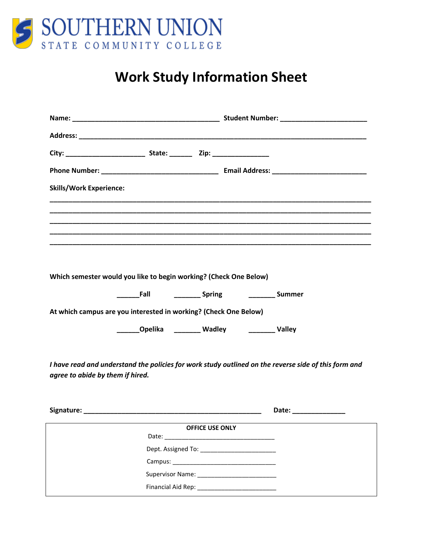

# **Work Study Information Sheet**

| <b>Skills/Work Experience:</b>                                                                       |                                                               |                        |  |                       |
|------------------------------------------------------------------------------------------------------|---------------------------------------------------------------|------------------------|--|-----------------------|
|                                                                                                      |                                                               |                        |  |                       |
|                                                                                                      |                                                               |                        |  |                       |
|                                                                                                      |                                                               |                        |  |                       |
|                                                                                                      |                                                               |                        |  |                       |
|                                                                                                      |                                                               |                        |  |                       |
| Which semester would you like to begin working? (Check One Below)                                    |                                                               |                        |  |                       |
|                                                                                                      | ________Fall _______________Spring ____________________Summer |                        |  |                       |
| At which campus are you interested in working? (Check One Below)                                     |                                                               |                        |  |                       |
|                                                                                                      | _______Opelika ________ Wadley __________ Valley              |                        |  |                       |
|                                                                                                      |                                                               |                        |  |                       |
| I have read and understand the policies for work study outlined on the reverse side of this form and |                                                               |                        |  |                       |
| agree to abide by them if hired.                                                                     |                                                               |                        |  |                       |
|                                                                                                      |                                                               |                        |  |                       |
|                                                                                                      |                                                               |                        |  | Date: _______________ |
|                                                                                                      |                                                               | <b>OFFICE USE ONLY</b> |  |                       |
|                                                                                                      |                                                               |                        |  |                       |
|                                                                                                      |                                                               |                        |  |                       |
|                                                                                                      |                                                               |                        |  |                       |
|                                                                                                      |                                                               |                        |  |                       |
|                                                                                                      |                                                               |                        |  |                       |